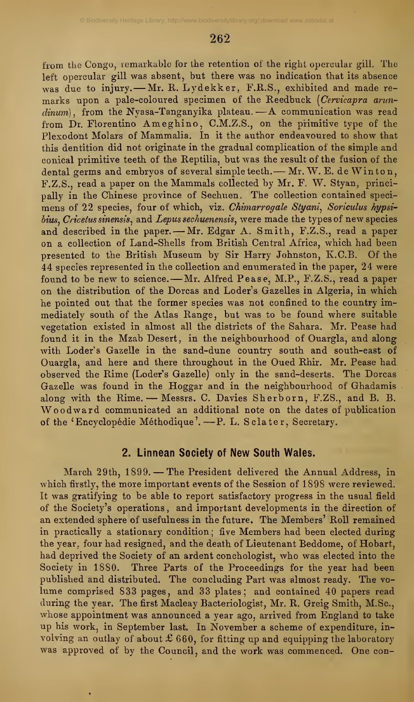from the Congo, remarkable for the retention of the right opercular gill. The left opercular gill was absent, but there was no indication that its absence was due to injury. - Mr. R. Lydekker, F.R.S., exhibited and made remarks upon a pale-coloured specimen of the Reedbuck (Cervicapra arun $dimum$ , from the Nyasa-Tanganyika plateau.  $-A$  communication was read from Dr. Florentino Ameghino, C.M.Z.S., on the primitive type of the Plexodont Molars of Mammalia. In it the author endeavoured to show that this dentition did not originate in the gradual complication of the simple and conical primitive teeth of the Reptilia, but was the result of the fusion of the dental germs and embryos of several simple teeth. - Mr. W. E. de Winton, F.Z.S., read <sup>a</sup> paper on the Mammals collected by Mr. F. W. Styan, principally in the Chinese province of Sechuen. The collection contained speci mens of 22 species, four of which, viz. Chimarrogale Styani, Soriculus hypsibius, Cricetus sinensis, and Lepus sechuenensis, were made the types of new species and described in the paper. - Mr. Edgar A. Smith, F.Z.S., read a paper on a collection of Land-Shells from British Central Africa, which had been presented to the British Museum by Sir Harry Johnston, K.C.B. Of the 44 species represented in the collection and enumerated in the paper, 24 were found to be new to science. - Mr. Alfred Pease, M.P., F.Z.S., read a paper on the distribution of the Dorcas and Loder's Gazelles in Algeria, in which he pointed out that the former species was not confined to the country immediately south of the Atlas Range, but was to be found where suitable vegetation existed in almost all the districts of the Sahara. Mr. Pease had found it in the Mzab Desert, in the neighbourhood of Ouargla, and along with Loder's Gazelle in the sand-dune country south and south-east of Ouargla, and here and there throughout in the Oued Rhir. Mr. Pease had observed the Rime (Loder's Gazelle) only in the sand-deserts. The Dorcas Gazelle was found in the Hoggar and in the neighbourhood of Ghadamis along with the Rime. — Messrs. C. Davies Sherborn, F.ZS., and B. B. Woodward communicated an additional note on the dates of publication of the 'Encyclopédie Méthodique'. —P. L. Sclater, Secretary.

## 2. Linnean Society of New South Wales.

March 29th, 1899. —The President delivered the Annual Address, in which firstly, thé more important events of the Session of 1898 were reviewed. It was gratifying to be able to report satisfactory progress in the usual field of the Society's operations , and important developments in the direction of an extended sphere of usefulness in the future. The Members' Roll remained in practically a stationary condition; five Members had been elected during the year, four had resigned, and the death of Lieutenant Beddome, of Hobart, had deprived the Society of an ardent conchologist, who was elected into the Society in 1880. Three Parts of the Proceedings for the year had been published and distributed. The concluding Part was almost ready. The vo lume comprised 833 pages, and 33 plates; and contained 40 papers read during the year. The first Macleay Bacteriologist, Mr. R. Greig Smith, M.Sc, whose appointment was announced a year ago, arrived from England to take up his work, in September last. In November <sup>a</sup>scheme of expenditure, in volving an outlay of about  $\pounds 660$ , for fitting up and equipping the laboratory was approved of by the Council, and the work was commenced. One con-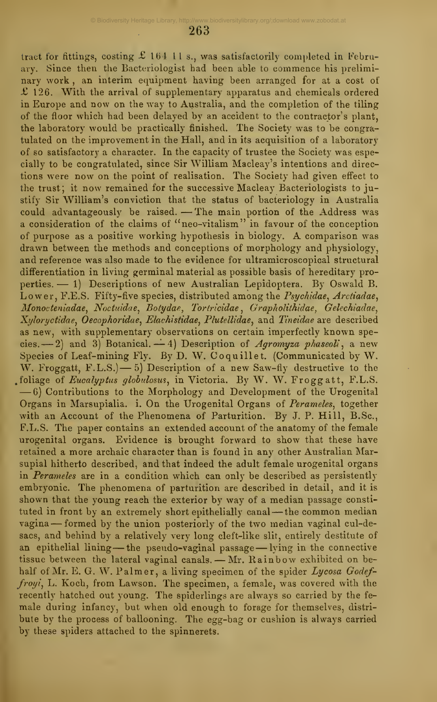tract for fittings, costing £ 164 11 s., was satisfactorily completed in February. Since then the Bacteriologist had been able to commence his prelimi nary work , an interim equipment having been arranged for at a cost of  $£$  126. With the arrival of supplementary apparatus and chemicals ordered in Europe and now on the way to Australia, and the completion of the tiling of the floor which had been delayed by an accident to the contractor's plant, the laboratory would be practically finished. The Society was to be congratulated on the improvement in the Hall, and in its acquisition of a laboratory of so satisfactory a character. In the capacity of trustee the Society was especially to be congratulated, since Sir William Macleay's intentions and direc tions were now on the point of realisation. The Society had given effect to the trust; it now remained for the successive Macleay Bacteriologists to justify Sir William's conviction that the status of bacteriology in Australia stify Sir William's conviction that the status of bacteriology in Australia<br>could advantageously be raised. — The main portion of the Address was a consideration of the claims of "neo-vitalism" in favour of the conception of purpose as <sup>a</sup> positive working hypothesis in biology. A comparison was drawn between the methods and conceptions of morphology and physiology, and reference was also made to the evidence for ultramicroscopical structural differentiation in living germinal material as possible basis of hereditary properties. — 1) Descriptions of new Australian Lepidoptera. By Oswald B. Lower, F.E.S. Fifty-five species, distributed among the Psychidae, Arctiadae, Monocteniadae, Noctuidae, Botydae, Tortricidae, Grapholithidae, Gelechiadae, Xyloryctidae, Oecophoridae, Elachistidae, Plutellidae, and Tineidae are described as new, with supplementary observations on certain imperfectly known speas new, with supplementary observations on certain imperiestly known spe-<br>cies. -- 2) and 3) Botanical. -- 4) Description of *Agromyza phaseoli*, a new Species of Leaf-mining Fly. By D. W. Co quill et. (Communicated by W. W. Froggatt, F.L.S.) — 5) Description of a new Saw-fly destructive to the foliage of *Eucalyptus globulosus*, in Victoria. By W. W. Froggatt, F.L.S.  $-6$  Contributions to the Morphology and Development of the Urogenital Organs in Marsupialia. i. On the Urogenital Organs of Perameles, together with an Account of the Phenomena of Parturition. By J. P. Hill, B.Sc, F.L.S. The paper contains an extended account of the anatomy of the female urogenital organs. Evidence is brought forward to show that these have retained a more archaic character than is found in any other Australian Marsupial hitherto described, and that indeed the adult female urogenital organs in Perameles are in a condition which can only be described as persistently embryonic. The phenomena of parturition are described in detail, and it is shown that the young reach the exterior by way of a median passage consti tuted in front by an extremely short epithelially canal - the common median vagina — formed by the union posteriorly of the two median vaginal cul-desacs, and behind by a relatively very long cleft-like slit, entirely destitute of an epithelial lining-the pseudo-vaginal passage-lying in the connective tissue between the lateral vaginal canals. — Mr. Rainbow exhibited on behalf of Mr. E. G. W. Palmer, a living specimen of the spider Lycosa Godeffroyi, L. Koch, from Lawson. The specimen, a female, was covered with the recently hatched out young. The spiderlings are always so carried by the fe male during infancy, but when old enough to forage for themselves, distri bute by the process of ballooning. The egg-bag or cushion is always carried by these spiders attached to the spinnerets.